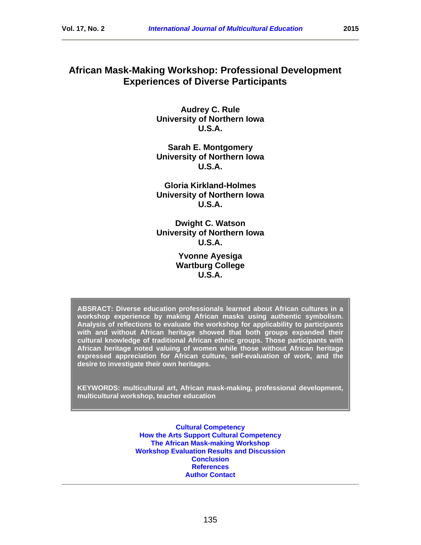# **African Mask-Making Workshop: Professional Development Experiences of Diverse Participants**

**Audrey C. Rule University of Northern Iowa U.S.A.**

**Sarah E. Montgomery University of Northern Iowa U.S.A.**

**Gloria Kirkland-Holmes University of Northern Iowa U.S.A.**

**Dwight C. Watson University of Northern Iowa U.S.A.**

> **Yvonne Ayesiga Wartburg College U.S.A.**

**ABSRACT: Diverse education professionals learned about African cultures in a workshop experience by making African masks using authentic symbolism. Analysis of reflections to evaluate the workshop for applicability to participants with and without African heritage showed that both groups expanded their cultural knowledge of traditional African ethnic groups. Those participants with African heritage noted valuing of women while those without African heritage expressed appreciation for African culture, self-evaluation of work, and the desire to investigate their own heritages.**

**KEYWORDS: multicultural art, African mask-making, professional development, multicultural workshop, teacher education**

> **[Cultural Competency](#page-3-0) [How the Arts Support Cultural Competency](#page-6-0) [The African Mask-making Workshop](#page-8-0) [Workshop Evaluation Results and Discussion](#page-9-0) [Conclusion](#page-17-0) [References](#page-18-0) [Author Contact](#page-22-0)**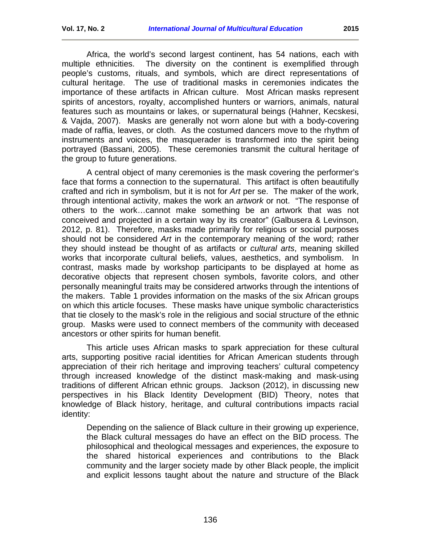Africa, the world's second largest continent, has 54 nations, each with multiple ethnicities. The diversity on the continent is exemplified through people's customs, rituals, and symbols, which are direct representations of cultural heritage. The use of traditional masks in ceremonies indicates the importance of these artifacts in African culture. Most African masks represent spirits of ancestors, royalty, accomplished hunters or warriors, animals, natural features such as mountains or lakes, or supernatural beings (Hahner, Kecskesi, & Vajda, 2007). Masks are generally not worn alone but with a body-covering made of raffia, leaves, or cloth. As the costumed dancers move to the rhythm of instruments and voices, the masquerader is transformed into the spirit being portrayed (Bassani, 2005). These ceremonies transmit the cultural heritage of the group to future generations.

A central object of many ceremonies is the mask covering the performer's face that forms a connection to the supernatural. This artifact is often beautifully crafted and rich in symbolism, but it is not for *Art* per se. The maker of the work, through intentional activity, makes the work an *artwork* or not. "The response of others to the work…cannot make something be an artwork that was not conceived and projected in a certain way by its creator" (Galbusera & Levinson, 2012, p. 81). Therefore, masks made primarily for religious or social purposes should not be considered *Art* in the contemporary meaning of the word; rather they should instead be thought of as artifacts or *cultural arts*, meaning skilled works that incorporate cultural beliefs, values, aesthetics, and symbolism. In contrast, masks made by workshop participants to be displayed at home as decorative objects that represent chosen symbols, favorite colors, and other personally meaningful traits may be considered artworks through the intentions of the makers. Table 1 provides information on the masks of the six African groups on which this article focuses. These masks have unique symbolic characteristics that tie closely to the mask's role in the religious and social structure of the ethnic group. Masks were used to connect members of the community with deceased ancestors or other spirits for human benefit.

This article uses African masks to spark appreciation for these cultural arts, supporting positive racial identities for African American students through appreciation of their rich heritage and improving teachers' cultural competency through increased knowledge of the distinct mask-making and mask-using traditions of different African ethnic groups. Jackson (2012), in discussing new perspectives in his Black Identity Development (BID) Theory, notes that knowledge of Black history, heritage, and cultural contributions impacts racial identity:

Depending on the salience of Black culture in their growing up experience, the Black cultural messages do have an effect on the BID process. The philosophical and theological messages and experiences, the exposure to the shared historical experiences and contributions to the Black community and the larger society made by other Black people, the implicit and explicit lessons taught about the nature and structure of the Black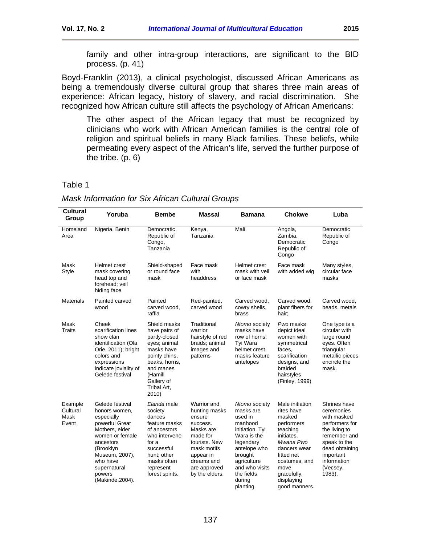family and other intra-group interactions, are significant to the BID process. (p. 41)

Boyd-Franklin (2013), a clinical psychologist, discussed African Americans as being a tremendously diverse cultural group that shares three main areas of experience: African legacy, history of slavery, and racial discrimination. She recognized how African culture still affects the psychology of African Americans:

The other aspect of the African legacy that must be recognized by clinicians who work with African American families is the central role of religion and spiritual beliefs in many Black families. These beliefs, while permeating every aspect of the African's life, served the further purpose of the tribe. (p. 6)

#### Table 1

| <b>Cultural</b><br>Group             | Yoruba                                                                                                                                                                                                      | <b>Bembe</b>                                                                                                                                                                 | <b>Massai</b>                                                                                                                                                            | <b>Bamana</b>                                                                                                                                                                                    | <b>Chokwe</b>                                                                                                                                                                                     | Luba                                                                                                                                                                             |
|--------------------------------------|-------------------------------------------------------------------------------------------------------------------------------------------------------------------------------------------------------------|------------------------------------------------------------------------------------------------------------------------------------------------------------------------------|--------------------------------------------------------------------------------------------------------------------------------------------------------------------------|--------------------------------------------------------------------------------------------------------------------------------------------------------------------------------------------------|---------------------------------------------------------------------------------------------------------------------------------------------------------------------------------------------------|----------------------------------------------------------------------------------------------------------------------------------------------------------------------------------|
| Homeland<br>Area                     | Nigeria, Benin                                                                                                                                                                                              | Democratic<br>Republic of<br>Congo,<br>Tanzania                                                                                                                              | Kenya,<br>Tanzania                                                                                                                                                       | Mali                                                                                                                                                                                             | Angola,<br>Zambia,<br>Democratic<br>Republic of<br>Congo                                                                                                                                          | Democratic<br>Republic of<br>Congo                                                                                                                                               |
| Mask<br>Style                        | Helmet crest<br>mask covering<br>head top and<br>forehead: veil<br>hiding face                                                                                                                              | Shield-shaped<br>or round face<br>mask                                                                                                                                       | Face mask<br>with<br>headdress                                                                                                                                           | Helmet crest<br>mask with veil<br>or face mask                                                                                                                                                   | Face mask<br>with added wig                                                                                                                                                                       | Many styles,<br>circular face<br>masks                                                                                                                                           |
| <b>Materials</b>                     | Painted carved<br>wood                                                                                                                                                                                      | Painted<br>carved wood,<br>raffia                                                                                                                                            | Red-painted,<br>carved wood                                                                                                                                              | Carved wood,<br>cowry shells,<br>brass                                                                                                                                                           | Carved wood,<br>plant fibers for<br>hair:                                                                                                                                                         | Carved wood,<br>beads, metals                                                                                                                                                    |
| Mask<br><b>Traits</b>                | Cheek<br>scarification lines<br>show clan<br>identification (Ola<br>Orie, 2011); bright<br>colors and<br>expressions<br>indicate joviality of<br>Gelede festival                                            | Shield masks<br>have pairs of<br>partly-closed<br>eyes; animal<br>masks have<br>pointy chins,<br>beaks, horns,<br>and manes<br>(Hamill<br>Gallery of<br>Tribal Art,<br>2010) | Traditional<br>warrior<br>hairstyle of red<br>braids; animal<br>images and<br>patterns                                                                                   | Ntomo society<br>masks have<br>row of horns:<br>Tyi Wara<br>helmet crest<br>masks feature<br>antelopes                                                                                           | Pwo masks<br>depict ideal<br>women with<br>symmetrical<br>faces.<br>scarification<br>designs, and<br>braided<br>hairstyles<br>(Finley, 1999)                                                      | One type is a<br>circular with<br>large round<br>eyes. Often<br>triangular<br>metallic pieces<br>encircle the<br>mask.                                                           |
| Example<br>Cultural<br>Mask<br>Event | Gelede festival<br>honors women,<br>especially<br>powerful Great<br>Mothers, elder<br>women or female<br>ancestors<br>(Brooklyn<br>Museum, 2007),<br>who have<br>supernatural<br>powers<br>(Makinde, 2004). | Elanda male<br>society<br>dances<br>feature masks<br>of ancestors<br>who intervene<br>for a<br>successful<br>hunt; other<br>masks often<br>represent<br>forest spirits.      | Warrior and<br>hunting masks<br>ensure<br>success.<br>Masks are<br>made for<br>tourists. New<br>mask motifs<br>appear in<br>dreams and<br>are approved<br>by the elders. | Ntomo society<br>masks are<br>used in<br>manhood<br>initiation. Tyi<br>Wara is the<br>legendary<br>antelope who<br>brought<br>agriculture<br>and who visits<br>the fields<br>during<br>planting. | Male initiation<br>rites have<br>masked<br>performers<br>teaching<br>initiates.<br>Mwana Pwo<br>dancers wear<br>fitted net<br>costumes, and<br>move<br>gracefully,<br>displaying<br>good manners. | Shrines have<br>ceremonies<br>with masked<br>performers for<br>the living to<br>remember and<br>speak to the<br>dead obtaining<br>important<br>information<br>(Vecsey,<br>1983). |

#### *Mask Information for Six African Cultural Groups*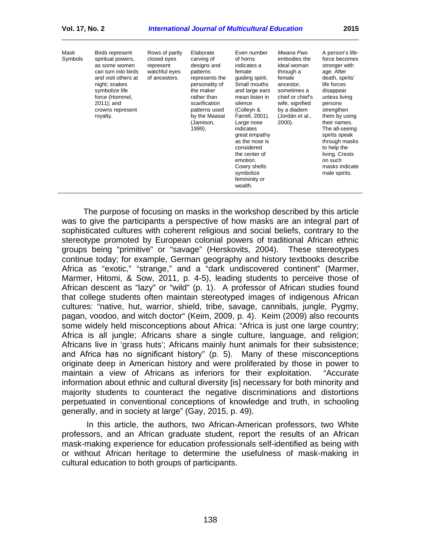| Mask<br>Birds represent<br>Rows of partly<br>closed eyes<br>spiritual powers,<br>Symbols<br>represent<br>as some women<br>watchful eyes<br>can turn into birds<br>of ancestors.<br>and visit others at<br>night; snakes<br>symbolize life<br>force (Hommel,<br>$2011$ ; and<br>crowns represent<br>royalty. | Elaborate<br>carving of<br>designs and<br>patterns<br>represents the<br>personality of<br>the maker<br>rather than<br>scarification<br>patterns used<br>by the Maasai<br>(Jamison,<br>1999). | Even number<br>of horns<br>indicates a<br>female<br>guiding spirit.<br>Small mouths<br>and large ears<br>mean listen in<br>silence<br>(Colleyn &<br>Farrell, 2001).<br>Large nose<br>indicates<br>great empathy<br>as the nose is<br>considered<br>the center of<br>emotion.<br>Cowry shells<br>symbolize<br>femininity or<br>wealth. | Mwana Pwo<br>embodies the<br>ideal woman<br>through a<br>female<br>ancestor.<br>sometimes a<br>chief or chief's<br>wife, signified<br>by a diadem<br>(Jordán et al.,<br>$2000$ ). | A person's life-<br>force becomes<br>stronger with<br>age. After<br>death, spirits'<br>life forces<br>disappear<br>unless living<br>persons<br>strengthen<br>them by using<br>their names.<br>The all-seeing<br>spirits speak<br>through masks<br>to help the<br>living. Crests<br>on such<br>masks indicate<br>male spirits. |
|-------------------------------------------------------------------------------------------------------------------------------------------------------------------------------------------------------------------------------------------------------------------------------------------------------------|----------------------------------------------------------------------------------------------------------------------------------------------------------------------------------------------|---------------------------------------------------------------------------------------------------------------------------------------------------------------------------------------------------------------------------------------------------------------------------------------------------------------------------------------|-----------------------------------------------------------------------------------------------------------------------------------------------------------------------------------|-------------------------------------------------------------------------------------------------------------------------------------------------------------------------------------------------------------------------------------------------------------------------------------------------------------------------------|
|-------------------------------------------------------------------------------------------------------------------------------------------------------------------------------------------------------------------------------------------------------------------------------------------------------------|----------------------------------------------------------------------------------------------------------------------------------------------------------------------------------------------|---------------------------------------------------------------------------------------------------------------------------------------------------------------------------------------------------------------------------------------------------------------------------------------------------------------------------------------|-----------------------------------------------------------------------------------------------------------------------------------------------------------------------------------|-------------------------------------------------------------------------------------------------------------------------------------------------------------------------------------------------------------------------------------------------------------------------------------------------------------------------------|

The purpose of focusing on masks in the workshop described by this article was to give the participants a perspective of how masks are an integral part of sophisticated cultures with coherent religious and social beliefs, contrary to the stereotype promoted by European colonial powers of traditional African ethnic groups being "primitive" or "savage" (Herskovits, 2004). These stereotypes continue today; for example, German geography and history textbooks describe Africa as "exotic," "strange," and a "dark undiscovered continent" (Marmer, Marmer, Hitomi, & Sow, 2011, p. 4-5), leading students to perceive those of African descent as "lazy" or "wild" (p. 1). A professor of African studies found that college students often maintain stereotyped images of indigenous African cultures: "native, hut, warrior, shield, tribe, savage, cannibals, jungle, Pygmy, pagan, voodoo, and witch doctor" (Keim, 2009, p. 4). Keim (2009) also recounts some widely held misconceptions about Africa: "Africa is just one large country; Africa is all jungle; Africans share a single culture, language, and religion; Africans live in 'grass huts'; Africans mainly hunt animals for their subsistence; and Africa has no significant history" (p. 5). Many of these misconceptions originate deep in American history and were proliferated by those in power to maintain a view of Africans as inferiors for their exploitation. "Accurate information about ethnic and cultural diversity [is] necessary for both minority and majority students to counteract the negative discriminations and distortions perpetuated in conventional conceptions of knowledge and truth, in schooling generally, and in society at large" (Gay, 2015, p. 49).

<span id="page-3-0"></span>In this article, the authors, two African-American professors, two White professors, and an African graduate student, report the results of an African mask-making experience for education professionals self-identified as being with or without African heritage to determine the usefulness of mask-making in cultural education to both groups of participants.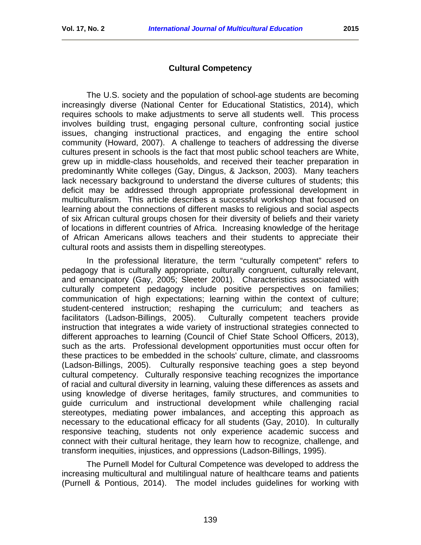### **Cultural Competency**

The U.S. society and the population of school-age students are becoming increasingly diverse (National Center for Educational Statistics, 2014), which requires schools to make adjustments to serve all students well. This process involves building trust, engaging personal culture, confronting social justice issues, changing instructional practices, and engaging the entire school community (Howard, 2007). A challenge to teachers of addressing the diverse cultures present in schools is the fact that most public school teachers are White, grew up in middle-class households, and received their teacher preparation in predominantly White colleges (Gay, Dingus, & Jackson, 2003). Many teachers lack necessary background to understand the diverse cultures of students; this deficit may be addressed through appropriate professional development in multiculturalism. This article describes a successful workshop that focused on learning about the connections of different masks to religious and social aspects of six African cultural groups chosen for their diversity of beliefs and their variety of locations in different countries of Africa. Increasing knowledge of the heritage of African Americans allows teachers and their students to appreciate their cultural roots and assists them in dispelling stereotypes.

In the professional literature, the term "culturally competent" refers to pedagogy that is culturally appropriate, culturally congruent, culturally relevant, and emancipatory (Gay, 2005; Sleeter 2001). Characteristics associated with culturally competent pedagogy include positive perspectives on families; communication of high expectations; learning within the context of culture; student-centered instruction; reshaping the curriculum; and teachers as facilitators (Ladson-Billings, 2005). Culturally competent teachers provide instruction that integrates a wide variety of instructional strategies connected to different approaches to learning (Council of Chief State School Officers, 2013), such as the arts. Professional development opportunities must occur often for these practices to be embedded in the schools' culture, climate, and classrooms (Ladson-Billings, 2005). Culturally responsive teaching goes a step beyond cultural competency. Culturally responsive teaching recognizes the importance of racial and cultural diversity in learning, valuing these differences as assets and using knowledge of diverse heritages, family structures, and communities to guide curriculum and instructional development while challenging racial stereotypes, mediating power imbalances, and accepting this approach as necessary to the educational efficacy for all students (Gay, 2010). In culturally responsive teaching, students not only experience academic success and connect with their cultural heritage, they learn how to recognize, challenge, and transform inequities, injustices, and oppressions (Ladson-Billings, 1995).

The Purnell Model for Cultural Competence was developed to address the increasing multicultural and multilingual nature of healthcare teams and patients (Purnell & Pontious, 2014). The model includes guidelines for working with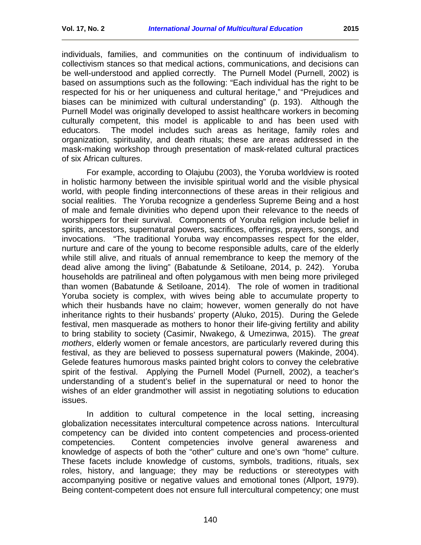individuals, families, and communities on the continuum of individualism to collectivism stances so that medical actions, communications, and decisions can be well-understood and applied correctly. The Purnell Model (Purnell, 2002) is based on assumptions such as the following: "Each individual has the right to be respected for his or her uniqueness and cultural heritage," and "Prejudices and biases can be minimized with cultural understanding" (p. 193). Although the Purnell Model was originally developed to assist healthcare workers in becoming culturally competent, this model is applicable to and has been used with educators. The model includes such areas as heritage, family roles and organization, spirituality, and death rituals; these are areas addressed in the mask-making workshop through presentation of mask-related cultural practices of six African cultures.

For example, according to Olajubu (2003), the Yoruba worldview is rooted in holistic harmony between the invisible spiritual world and the visible physical world, with people finding interconnections of these areas in their religious and social realities. The Yoruba recognize a genderless Supreme Being and a host of male and female divinities who depend upon their relevance to the needs of worshippers for their survival. Components of Yoruba religion include belief in spirits, ancestors, supernatural powers, sacrifices, offerings, prayers, songs, and invocations. "The traditional Yoruba way encompasses respect for the elder, nurture and care of the young to become responsible adults, care of the elderly while still alive, and rituals of annual remembrance to keep the memory of the dead alive among the living" (Babatunde & Setiloane, 2014, p. 242). Yoruba households are patrilineal and often polygamous with men being more privileged than women (Babatunde & Setiloane, 2014). The role of women in traditional Yoruba society is complex, with wives being able to accumulate property to which their husbands have no claim; however, women generally do not have inheritance rights to their husbands' property (Aluko, 2015). During the Gelede festival, men masquerade as mothers to honor their life-giving fertility and ability to bring stability to society (Casimir, Nwakego, & Umezinwa, 2015). The *great mothers*, elderly women or female ancestors, are particularly revered during this festival, as they are believed to possess supernatural powers (Makinde, 2004). Gelede features humorous masks painted bright colors to convey the celebrative spirit of the festival. Applying the Purnell Model (Purnell, 2002), a teacher's understanding of a student's belief in the supernatural or need to honor the wishes of an elder grandmother will assist in negotiating solutions to education issues.

In addition to cultural competence in the local setting, increasing globalization necessitates intercultural competence across nations. Intercultural competency can be divided into content competencies and process-oriented competencies. Content competencies involve general awareness and knowledge of aspects of both the "other" culture and one's own "home" culture. These facets include knowledge of customs, symbols, traditions, rituals, sex roles, history, and language; they may be reductions or stereotypes with accompanying positive or negative values and emotional tones (Allport, 1979). Being content-competent does not ensure full intercultural competency; one must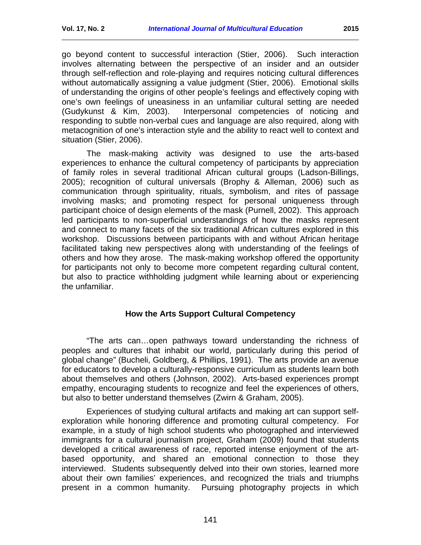go beyond content to successful interaction (Stier, 2006). Such interaction involves alternating between the perspective of an insider and an outsider through self-reflection and role-playing and requires noticing cultural differences without automatically assigning a value judgment (Stier, 2006). Emotional skills of understanding the origins of other people's feelings and effectively coping with one's own feelings of uneasiness in an unfamiliar cultural setting are needed (Gudykunst & Kim, 2003). Interpersonal competencies of noticing and responding to subtle non-verbal cues and language are also required, along with metacognition of one's interaction style and the ability to react well to context and situation (Stier, 2006).

The mask-making activity was designed to use the arts-based experiences to enhance the cultural competency of participants by appreciation of family roles in several traditional African cultural groups (Ladson-Billings, 2005); recognition of cultural universals (Brophy & Alleman, 2006) such as communication through spirituality, rituals, symbolism, and rites of passage involving masks; and promoting respect for personal uniqueness through participant choice of design elements of the mask (Purnell, 2002). This approach led participants to non-superficial understandings of how the masks represent and connect to many facets of the six traditional African cultures explored in this workshop. Discussions between participants with and without African heritage facilitated taking new perspectives along with understanding of the feelings of others and how they arose. The mask-making workshop offered the opportunity for participants not only to become more competent regarding cultural content, but also to practice withholding judgment while learning about or experiencing the unfamiliar.

### **How the Arts Support Cultural Competency**

<span id="page-6-0"></span>"The arts can…open pathways toward understanding the richness of peoples and cultures that inhabit our world, particularly during this period of global change" (Bucheli, Goldberg, & Phillips, 1991). The arts provide an avenue for educators to develop a culturally-responsive curriculum as students learn both about themselves and others (Johnson, 2002). Arts-based experiences prompt empathy, encouraging students to recognize and feel the experiences of others, but also to better understand themselves (Zwirn & Graham, 2005).

Experiences of studying cultural artifacts and making art can support selfexploration while honoring difference and promoting cultural competency. For example, in a study of high school students who photographed and interviewed immigrants for a cultural journalism project, Graham (2009) found that students developed a critical awareness of race, reported intense enjoyment of the artbased opportunity, and shared an emotional connection to those they interviewed. Students subsequently delved into their own stories, learned more about their own families' experiences, and recognized the trials and triumphs present in a common humanity. Pursuing photography projects in which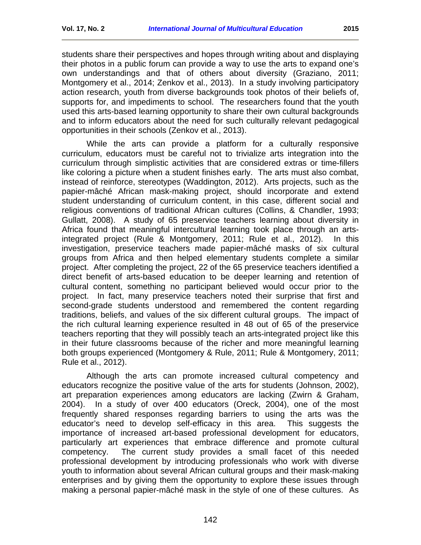students share their perspectives and hopes through writing about and displaying their photos in a public forum can provide a way to use the arts to expand one's own understandings and that of others about diversity (Graziano, 2011; Montgomery et al., 2014; Zenkov et al., 2013). In a study involving participatory action research, youth from diverse backgrounds took photos of their beliefs of, supports for, and impediments to school. The researchers found that the youth used this arts-based learning opportunity to share their own cultural backgrounds and to inform educators about the need for such culturally relevant pedagogical opportunities in their schools (Zenkov et al., 2013).

While the arts can provide a platform for a culturally responsive curriculum, educators must be careful not to trivialize arts integration into the curriculum through simplistic activities that are considered extras or time-fillers like coloring a picture when a student finishes early. The arts must also combat, instead of reinforce, stereotypes (Waddington, 2012). Arts projects, such as the papier-mâché African mask-making project, should incorporate and extend student understanding of curriculum content, in this case, different social and religious conventions of traditional African cultures (Collins, & Chandler, 1993; Gullatt, 2008). A study of 65 preservice teachers learning about diversity in Africa found that meaningful intercultural learning took place through an artsintegrated project (Rule & Montgomery, 2011; Rule et al., 2012). In this investigation, preservice teachers made papier-mâché masks of six cultural groups from Africa and then helped elementary students complete a similar project. After completing the project, 22 of the 65 preservice teachers identified a direct benefit of arts-based education to be deeper learning and retention of cultural content, something no participant believed would occur prior to the project. In fact, many preservice teachers noted their surprise that first and second-grade students understood and remembered the content regarding traditions, beliefs, and values of the six different cultural groups. The impact of the rich cultural learning experience resulted in 48 out of 65 of the preservice teachers reporting that they will possibly teach an arts-integrated project like this in their future classrooms because of the richer and more meaningful learning both groups experienced (Montgomery & Rule, 2011; Rule & Montgomery, 2011; Rule et al., 2012).

Although the arts can promote increased cultural competency and educators recognize the positive value of the arts for students (Johnson, 2002), art preparation experiences among educators are lacking (Zwirn & Graham, 2004). In a study of over 400 educators (Oreck, 2004), one of the most frequently shared responses regarding barriers to using the arts was the educator's need to develop self-efficacy in this area. This suggests the importance of increased art-based professional development for educators, particularly art experiences that embrace difference and promote cultural competency. The current study provides a small facet of this needed professional development by introducing professionals who work with diverse youth to information about several African cultural groups and their mask-making enterprises and by giving them the opportunity to explore these issues through making a personal papier-mâché mask in the style of one of these cultures. As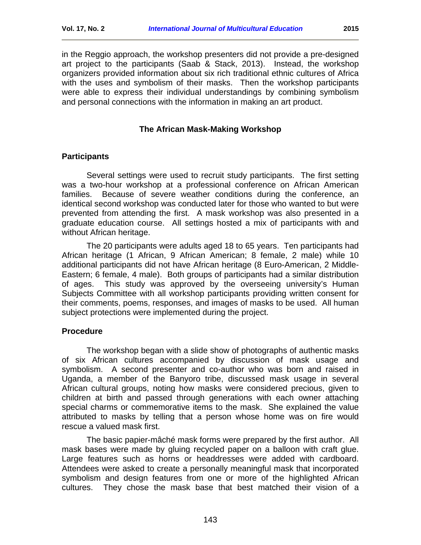in the Reggio approach, the workshop presenters did not provide a pre-designed art project to the participants (Saab & Stack, 2013). Instead, the workshop organizers provided information about six rich traditional ethnic cultures of Africa with the uses and symbolism of their masks. Then the workshop participants were able to express their individual understandings by combining symbolism and personal connections with the information in making an art product.

## **The African Mask-Making Workshop**

# <span id="page-8-0"></span>**Participants**

Several settings were used to recruit study participants. The first setting was a two-hour workshop at a professional conference on African American families. Because of severe weather conditions during the conference, an identical second workshop was conducted later for those who wanted to but were prevented from attending the first. A mask workshop was also presented in a graduate education course. All settings hosted a mix of participants with and without African heritage.

The 20 participants were adults aged 18 to 65 years. Ten participants had African heritage (1 African, 9 African American; 8 female, 2 male) while 10 additional participants did not have African heritage (8 Euro-American, 2 Middle-Eastern; 6 female, 4 male). Both groups of participants had a similar distribution of ages. This study was approved by the overseeing university's Human Subjects Committee with all workshop participants providing written consent for their comments, poems, responses, and images of masks to be used. All human subject protections were implemented during the project.

## **Procedure**

The workshop began with a slide show of photographs of authentic masks of six African cultures accompanied by discussion of mask usage and symbolism. A second presenter and co-author who was born and raised in Uganda, a member of the Banyoro tribe, discussed mask usage in several African cultural groups, noting how masks were considered precious, given to children at birth and passed through generations with each owner attaching special charms or commemorative items to the mask. She explained the value attributed to masks by telling that a person whose home was on fire would rescue a valued mask first.

The basic papier-mâché mask forms were prepared by the first author. All mask bases were made by gluing recycled paper on a balloon with craft glue. Large features such as horns or headdresses were added with cardboard. Attendees were asked to create a personally meaningful mask that incorporated symbolism and design features from one or more of the highlighted African cultures. They chose the mask base that best matched their vision of a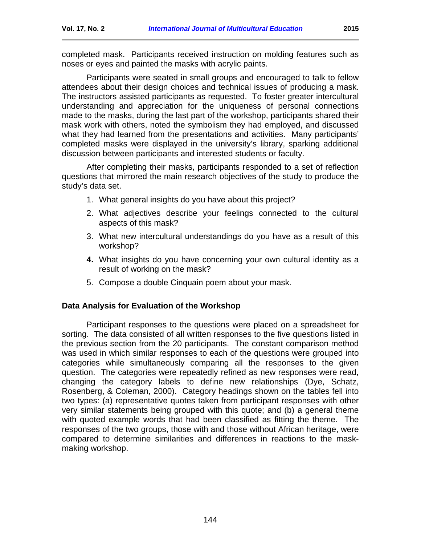completed mask. Participants received instruction on molding features such as noses or eyes and painted the masks with acrylic paints.

Participants were seated in small groups and encouraged to talk to fellow attendees about their design choices and technical issues of producing a mask. The instructors assisted participants as requested. To foster greater intercultural understanding and appreciation for the uniqueness of personal connections made to the masks, during the last part of the workshop, participants shared their mask work with others, noted the symbolism they had employed, and discussed what they had learned from the presentations and activities. Many participants' completed masks were displayed in the university's library, sparking additional discussion between participants and interested students or faculty.

After completing their masks, participants responded to a set of reflection questions that mirrored the main research objectives of the study to produce the study's data set.

- 1. What general insights do you have about this project?
- 2. What adjectives describe your feelings connected to the cultural aspects of this mask?
- 3. What new intercultural understandings do you have as a result of this workshop?
- **4.** What insights do you have concerning your own cultural identity as a result of working on the mask?
- 5. Compose a double Cinquain poem about your mask.

### **Data Analysis for Evaluation of the Workshop**

<span id="page-9-0"></span>Participant responses to the questions were placed on a spreadsheet for sorting. The data consisted of all written responses to the five questions listed in the previous section from the 20 participants. The constant comparison method was used in which similar responses to each of the questions were grouped into categories while simultaneously comparing all the responses to the given question. The categories were repeatedly refined as new responses were read, changing the category labels to define new relationships (Dye, Schatz, Rosenberg, & Coleman, 2000). Category headings shown on the tables fell into two types: (a) representative quotes taken from participant responses with other very similar statements being grouped with this quote; and (b) a general theme with quoted example words that had been classified as fitting the theme. The responses of the two groups, those with and those without African heritage, were compared to determine similarities and differences in reactions to the maskmaking workshop.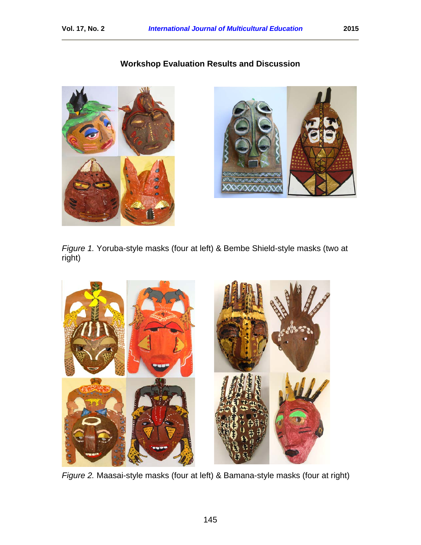# **Workshop Evaluation Results and Discussion**





*Figure 1.* Yoruba-style masks (four at left) & Bembe Shield-style masks (two at right)



*Figure 2.* Maasai-style masks (four at left) & Bamana-style masks (four at right)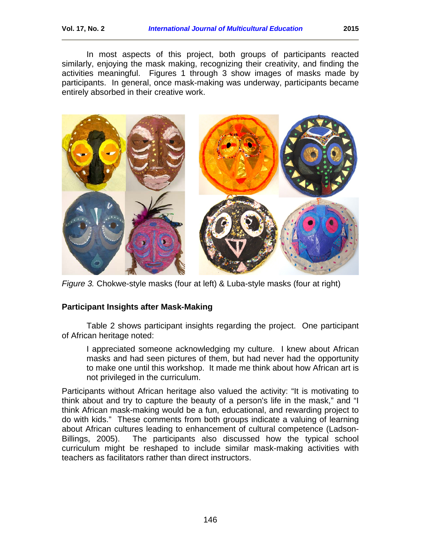In most aspects of this project, both groups of participants reacted similarly, enjoying the mask making, recognizing their creativity, and finding the activities meaningful. Figures 1 through 3 show images of masks made by participants. In general, once mask-making was underway, participants became entirely absorbed in their creative work.



*Figure 3.* Chokwe-style masks (four at left) & Luba-style masks (four at right)

## **Participant Insights after Mask-Making**

Table 2 shows participant insights regarding the project. One participant of African heritage noted:

I appreciated someone acknowledging my culture. I knew about African masks and had seen pictures of them, but had never had the opportunity to make one until this workshop. It made me think about how African art is not privileged in the curriculum.

Participants without African heritage also valued the activity: "It is motivating to think about and try to capture the beauty of a person's life in the mask," and "I think African mask-making would be a fun, educational, and rewarding project to do with kids." These comments from both groups indicate a valuing of learning about African cultures leading to enhancement of cultural competence (Ladson-Billings, 2005). The participants also discussed how the typical school curriculum might be reshaped to include similar mask-making activities with teachers as facilitators rather than direct instructors.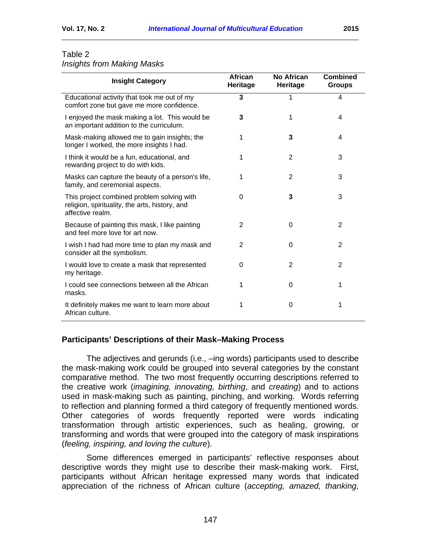# *Insights from Making Masks*

| <b>Insight Category</b>                                                                                          | <b>African</b><br>Heritage | No African<br>Heritage | <b>Combined</b><br><b>Groups</b> |
|------------------------------------------------------------------------------------------------------------------|----------------------------|------------------------|----------------------------------|
| Educational activity that took me out of my<br>comfort zone but gave me more confidence.                         | 3                          | 1                      | 4                                |
| I enjoyed the mask making a lot. This would be<br>an important addition to the curriculum.                       | 3                          | 1                      | 4                                |
| Mask-making allowed me to gain insights; the<br>longer I worked, the more insights I had.                        | 1                          | 3                      | 4                                |
| I think it would be a fun, educational, and<br>rewarding project to do with kids.                                | 1                          | $\overline{2}$         | 3                                |
| Masks can capture the beauty of a person's life,<br>family, and ceremonial aspects.                              | 1                          | 2                      | 3                                |
| This project combined problem solving with<br>religion, spirituality, the arts, history, and<br>affective realm. | 0                          | 3                      | 3                                |
| Because of painting this mask, I like painting<br>and feel more love for art now.                                | $\overline{2}$             | 0                      | $\overline{2}$                   |
| I wish I had had more time to plan my mask and<br>consider all the symbolism.                                    | $\overline{2}$             | 0                      | $\overline{2}$                   |
| I would love to create a mask that represented<br>my heritage.                                                   | 0                          | 2                      | 2                                |
| I could see connections between all the African<br>masks.                                                        | 1                          | 0                      | 1                                |
| It definitely makes me want to learn more about<br>African culture.                                              | 1                          | 0                      | 1                                |

## **Participants' Descriptions of their Mask–Making Process**

The adjectives and gerunds (i.e., –ing words) participants used to describe the mask-making work could be grouped into several categories by the constant comparative method. The two most frequently occurring descriptions referred to the creative work (*imagining, innovating, birthing*, and *creating*) and to actions used in mask-making such as painting, pinching, and working. Words referring to reflection and planning formed a third category of frequently mentioned words. Other categories of words frequently reported were words indicating transformation through artistic experiences, such as healing, growing, or transforming and words that were grouped into the category of mask inspirations (*feeling, inspiring, and loving the culture*).

Some differences emerged in participants' reflective responses about descriptive words they might use to describe their mask-making work. First, participants without African heritage expressed many words that indicated appreciation of the richness of African culture (*accepting, amazed, thanking,*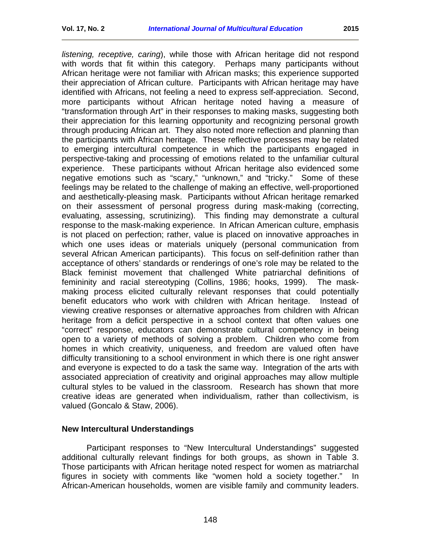*listening, receptive, caring*), while those with African heritage did not respond with words that fit within this category. Perhaps many participants without African heritage were not familiar with African masks; this experience supported their appreciation of African culture. Participants with African heritage may have identified with Africans, not feeling a need to express self-appreciation. Second, more participants without African heritage noted having a measure of "transformation through Art" in their responses to making masks, suggesting both their appreciation for this learning opportunity and recognizing personal growth through producing African art. They also noted more reflection and planning than the participants with African heritage. These reflective processes may be related to emerging intercultural competence in which the participants engaged in perspective-taking and processing of emotions related to the unfamiliar cultural experience. These participants without African heritage also evidenced some negative emotions such as "scary," "unknown," and "tricky." Some of these feelings may be related to the challenge of making an effective, well-proportioned and aesthetically-pleasing mask. Participants without African heritage remarked on their assessment of personal progress during mask-making (correcting, evaluating, assessing, scrutinizing). This finding may demonstrate a cultural response to the mask-making experience. In African American culture, emphasis is not placed on perfection; rather, value is placed on innovative approaches in which one uses ideas or materials uniquely (personal communication from several African American participants). This focus on self-definition rather than acceptance of others' standards or renderings of one's role may be related to the Black feminist movement that challenged White patriarchal definitions of femininity and racial stereotyping (Collins, 1986; hooks, 1999). The maskmaking process elicited culturally relevant responses that could potentially benefit educators who work with children with African heritage. Instead of viewing creative responses or alternative approaches from children with African heritage from a deficit perspective in a school context that often values one "correct" response, educators can demonstrate cultural competency in being open to a variety of methods of solving a problem. Children who come from homes in which creativity, uniqueness, and freedom are valued often have difficulty transitioning to a school environment in which there is one right answer and everyone is expected to do a task the same way. Integration of the arts with associated appreciation of creativity and original approaches may allow multiple cultural styles to be valued in the classroom. Research has shown that more creative ideas are generated when individualism, rather than collectivism, is valued (Goncalo & Staw, 2006).

### **New Intercultural Understandings**

Participant responses to "New Intercultural Understandings" suggested additional culturally relevant findings for both groups, as shown in Table 3. Those participants with African heritage noted respect for women as matriarchal figures in society with comments like "women hold a society together." In African-American households, women are visible family and community leaders.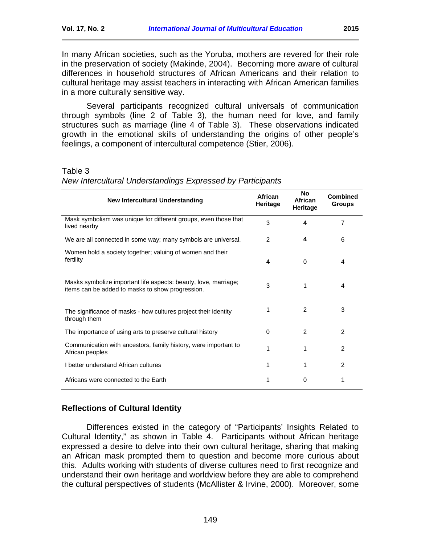In many African societies, such as the Yoruba, mothers are revered for their role in the preservation of society (Makinde, 2004). Becoming more aware of cultural differences in household structures of African Americans and their relation to cultural heritage may assist teachers in interacting with African American families in a more culturally sensitive way.

Several participants recognized cultural universals of communication through symbols (line 2 of Table 3), the human need for love, and family structures such as marriage (line 4 of Table 3). These observations indicated growth in the emotional skills of understanding the origins of other people's feelings, a component of intercultural competence (Stier, 2006).

#### Table 3

| <b>New Intercultural Understanding</b>                                                                              | African<br>Heritage | No<br>African<br>Heritage | <b>Combined</b><br><b>Groups</b> |
|---------------------------------------------------------------------------------------------------------------------|---------------------|---------------------------|----------------------------------|
| Mask symbolism was unique for different groups, even those that<br>lived nearby                                     | 3                   | 4                         | $\overline{7}$                   |
| We are all connected in some way; many symbols are universal.                                                       | 2                   | 4                         | 6                                |
| Women hold a society together; valuing of women and their<br>fertility                                              | 4                   | 0                         | 4                                |
| Masks symbolize important life aspects: beauty, love, marriage;<br>items can be added to masks to show progression. | 3                   | 1                         | 4                                |
| The significance of masks - how cultures project their identity<br>through them                                     |                     | 2                         | 3                                |
| The importance of using arts to preserve cultural history                                                           | 0                   | 2                         | $\mathcal{P}$                    |
| Communication with ancestors, family history, were important to<br>African peoples                                  | 1                   | 1                         | $\mathcal{P}$                    |
| I better understand African cultures                                                                                | 1                   | 1                         | 2                                |
| Africans were connected to the Earth                                                                                | 1                   | 0                         | 1                                |

*New Intercultural Understandings Expressed by Participants*

### **Reflections of Cultural Identity**

Differences existed in the category of "Participants' Insights Related to Cultural Identity," as shown in Table 4. Participants without African heritage expressed a desire to delve into their own cultural heritage, sharing that making an African mask prompted them to question and become more curious about this. Adults working with students of diverse cultures need to first recognize and understand their own heritage and worldview before they are able to comprehend the cultural perspectives of students (McAllister & Irvine, 2000). Moreover, some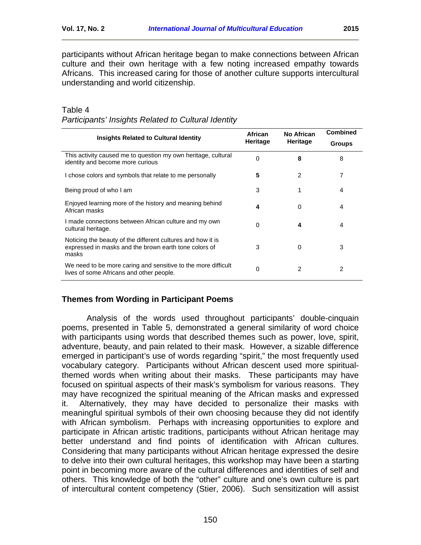participants without African heritage began to make connections between African culture and their own heritage with a few noting increased empathy towards Africans. This increased caring for those of another culture supports intercultural understanding and world citizenship.

|                                                                                                                               | African  | No African | <b>Combined</b> |
|-------------------------------------------------------------------------------------------------------------------------------|----------|------------|-----------------|
| <b>Insights Related to Cultural Identity</b>                                                                                  | Heritage | Heritage   | <b>Groups</b>   |
| This activity caused me to question my own heritage, cultural<br>identity and become more curious                             | 0        | 8          | 8               |
| I chose colors and symbols that relate to me personally                                                                       | 5        | 2          | 7               |
| Being proud of who I am                                                                                                       | 3        | 1          | 4               |
| Enjoyed learning more of the history and meaning behind<br>African masks                                                      | 4        | 0          | 4               |
| I made connections between African culture and my own<br>cultural heritage.                                                   | 0        | 4          | 4               |
| Noticing the beauty of the different cultures and how it is<br>expressed in masks and the brown earth tone colors of<br>masks | 3        | 0          | 3               |
| We need to be more caring and sensitive to the more difficult<br>lives of some Africans and other people.                     | 0        | 2          | 2               |

| Table 4                                             |  |
|-----------------------------------------------------|--|
| Participants' Insights Related to Cultural Identity |  |

### **Themes from Wording in Participant Poems**

Analysis of the words used throughout participants' double-cinquain poems, presented in Table 5, demonstrated a general similarity of word choice with participants using words that described themes such as power, love, spirit, adventure, beauty, and pain related to their mask. However, a sizable difference emerged in participant's use of words regarding "spirit," the most frequently used vocabulary category. Participants without African descent used more spiritualthemed words when writing about their masks. These participants may have focused on spiritual aspects of their mask's symbolism for various reasons. They may have recognized the spiritual meaning of the African masks and expressed it. Alternatively, they may have decided to personalize their masks with meaningful spiritual symbols of their own choosing because they did not identify with African symbolism. Perhaps with increasing opportunities to explore and participate in African artistic traditions, participants without African heritage may better understand and find points of identification with African cultures. Considering that many participants without African heritage expressed the desire to delve into their own cultural heritages, this workshop may have been a starting point in becoming more aware of the cultural differences and identities of self and others. This knowledge of both the "other" culture and one's own culture is part of intercultural content competency (Stier, 2006). Such sensitization will assist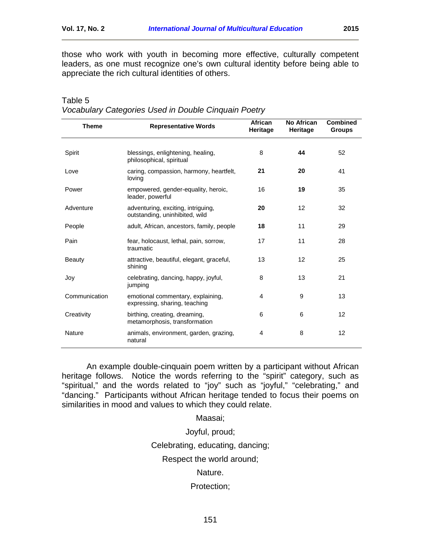those who work with youth in becoming more effective, culturally competent leaders, as one must recognize one's own cultural identity before being able to appreciate the rich cultural identities of others.

| <b>Theme</b>  | <b>Representative Words</b>                                          | African<br>Heritage | <b>No African</b><br>Heritage | <b>Combined</b><br><b>Groups</b> |
|---------------|----------------------------------------------------------------------|---------------------|-------------------------------|----------------------------------|
| Spirit        | blessings, enlightening, healing,                                    | 8                   | 44                            | 52                               |
|               | philosophical, spiritual                                             |                     |                               |                                  |
| Love          | caring, compassion, harmony, heartfelt,<br>loving                    | 21                  | 20                            | 41                               |
| Power         | empowered, gender-equality, heroic,<br>leader, powerful              | 16                  | 19                            | 35                               |
| Adventure     | adventuring, exciting, intriguing,<br>outstanding, uninhibited, wild | 20                  | 12                            | 32                               |
| People        | adult, African, ancestors, family, people                            | 18                  | 11                            | 29                               |
| Pain          | fear, holocaust, lethal, pain, sorrow,<br>traumatic                  | 17                  | 11                            | 28                               |
| <b>Beauty</b> | attractive, beautiful, elegant, graceful,<br>shining                 | 13                  | 12                            | 25                               |
| Joy           | celebrating, dancing, happy, joyful,<br>jumping                      | 8                   | 13                            | 21                               |
| Communication | emotional commentary, explaining,<br>expressing, sharing, teaching   | 4                   | 9                             | 13                               |
| Creativity    | birthing, creating, dreaming,<br>metamorphosis, transformation       | 6                   | 6                             | 12                               |
| Nature        | animals, environment, garden, grazing,<br>natural                    | 4                   | 8                             | 12                               |

| Table 5                                              |
|------------------------------------------------------|
| Vocabulary Categories Used in Double Cinquain Poetry |

An example double-cinquain poem written by a participant without African heritage follows. Notice the words referring to the "spirit" category, such as "spiritual," and the words related to "joy" such as "joyful," "celebrating," and "dancing." Participants without African heritage tended to focus their poems on similarities in mood and values to which they could relate.

Maasai;

Joyful, proud;

Celebrating, educating, dancing;

Respect the world around;

Nature.

Protection;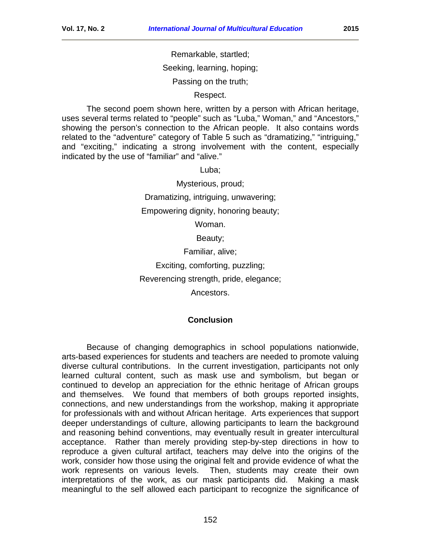Remarkable, startled;

Seeking, learning, hoping;

Passing on the truth;

Respect.

The second poem shown here, written by a person with African heritage, uses several terms related to "people" such as "Luba," Woman," and "Ancestors," showing the person's connection to the African people. It also contains words related to the "adventure" category of Table 5 such as "dramatizing," "intriguing," and "exciting," indicating a strong involvement with the content, especially indicated by the use of "familiar" and "alive."

Luba;

Mysterious, proud;

Dramatizing, intriguing, unwavering;

Empowering dignity, honoring beauty;

Woman.

Beauty;

Familiar, alive;

Exciting, comforting, puzzling;

Reverencing strength, pride, elegance;

Ancestors.

#### **Conclusion**

<span id="page-17-0"></span>Because of changing demographics in school populations nationwide, arts-based experiences for students and teachers are needed to promote valuing diverse cultural contributions. In the current investigation, participants not only learned cultural content, such as mask use and symbolism, but began or continued to develop an appreciation for the ethnic heritage of African groups and themselves. We found that members of both groups reported insights, connections, and new understandings from the workshop, making it appropriate for professionals with and without African heritage. Arts experiences that support deeper understandings of culture, allowing participants to learn the background and reasoning behind conventions, may eventually result in greater intercultural acceptance. Rather than merely providing step-by-step directions in how to reproduce a given cultural artifact, teachers may delve into the origins of the work, consider how those using the original felt and provide evidence of what the work represents on various levels. Then, students may create their own interpretations of the work, as our mask participants did. Making a mask meaningful to the self allowed each participant to recognize the significance of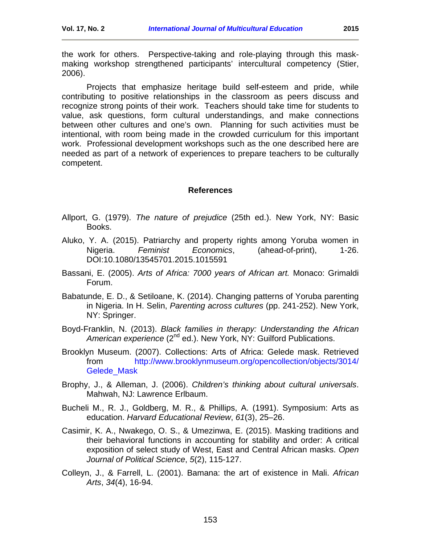the work for others. Perspective-taking and role-playing through this maskmaking workshop strengthened participants' intercultural competency (Stier, 2006).

Projects that emphasize heritage build self-esteem and pride, while contributing to positive relationships in the classroom as peers discuss and recognize strong points of their work. Teachers should take time for students to value, ask questions, form cultural understandings, and make connections between other cultures and one's own. Planning for such activities must be intentional, with room being made in the crowded curriculum for this important work. Professional development workshops such as the one described here are needed as part of a network of experiences to prepare teachers to be culturally competent.

#### **References**

- <span id="page-18-0"></span>Allport, G. (1979). *The nature of prejudice* (25th ed.). New York, NY: Basic Books.
- Aluko, Y. A. (2015). Patriarchy and property rights among Yoruba women in Nigeria. *Feminist Economics*, (ahead-of-print), 1-26. DOI:10.1080/13545701.2015.1015591
- Bassani, E. (2005). *Arts of Africa: 7000 years of African art.* Monaco: Grimaldi Forum.
- Babatunde, E. D., & Setiloane, K. (2014). Changing patterns of Yoruba parenting in Nigeria. In H. Selin, *Parenting across cultures* (pp. 241-252). New York, NY: Springer.
- Boyd-Franklin, N. (2013). *Black families in therapy: Understanding the African*  American experience (2<sup>nd</sup> ed.). New York, NY: Guilford Publications.
- Brooklyn Museum. (2007). Collections: Arts of Africa: Gelede mask. Retrieved from [http://www.brooklynmuseum.org/opencollection/objects/3014/](http://www.brooklynmuseum.org/opencollection/objects/3014/Gelede_Mask) [Gelede\\_Mask](http://www.brooklynmuseum.org/opencollection/objects/3014/Gelede_Mask)
- Brophy, J., & Alleman, J. (2006). *Children's thinking about cultural universals*. Mahwah, NJ: Lawrence Erlbaum.
- Bucheli M., R. J., Goldberg, M. R., & Phillips, A. (1991). Symposium: Arts as education. *Harvard Educational Review*, *61*(3), 25–26.
- Casimir, K. A., Nwakego, O. S., & Umezinwa, E. (2015). Masking traditions and their behavioral functions in accounting for stability and order: A critical exposition of select study of West, East and Central African masks. *Open Journal of Political Science*, *5*(2), 115-127.
- Colleyn, J., & Farrell, L. (2001). Bamana: the art of existence in Mali. *African Arts*, *34*(4), 16-94.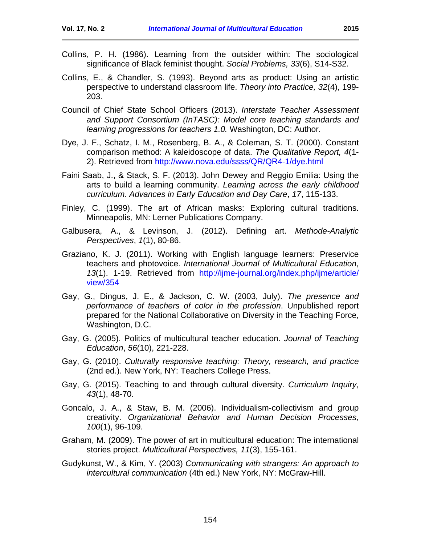- Collins, P. H. (1986). Learning from the outsider within: The sociological significance of Black feminist thought. *Social Problems, 33*(6), S14-S32.
- Collins, E., & Chandler, S. (1993). Beyond arts as product: Using an artistic perspective to understand classroom life. *Theory into Practice, 32*(4), 199- 203.
- Council of Chief State School Officers (2013). *Interstate Teacher Assessment and Support Consortium (InTASC): Model core teaching standards and learning progressions for teachers 1.0.* Washington, DC: Author.
- Dye, J. F., Schatz, I. M., Rosenberg, B. A., & Coleman, S. T. (2000). Constant comparison method: A kaleidoscope of data. *The Qualitative Report, 4*(1- 2). Retrieved from<http://www.nova.edu/ssss/QR/QR4-1/dye.html>
- Faini Saab, J., & Stack, S. F. (2013). John Dewey and Reggio Emilia: Using the arts to build a learning community. *Learning across the early childhood curriculum. Advances in Early Education and Day Care*, *17*, 115-133.
- Finley, C. (1999). The art of African masks: Exploring cultural traditions. Minneapolis, MN: Lerner Publications Company.
- Galbusera, A., & Levinson, J. (2012). Defining art. *Methode-Analytic Perspectives*, *1*(1), 80-86.
- Graziano, K. J. (2011). Working with English language learners: Preservice teachers and photovoice. *International Journal of Multicultural Education*, *13*(1). 1-19. Retrieved from [http://ijme-journal.org/index.php/ijme/article/](http://ijme-journal.org/index.php/ijme/article/view/354) [view/354](http://ijme-journal.org/index.php/ijme/article/view/354)
- Gay, G., Dingus, J. E., & Jackson, C. W. (2003, July). *The presence and performance of teachers of color in the profession*. Unpublished report prepared for the National Collaborative on Diversity in the Teaching Force, Washington, D.C.
- Gay, G. (2005). Politics of multicultural teacher education. *Journal of Teaching Education*, *56*(10), 221-228.
- Gay, G. (2010). *Culturally responsive teaching: Theory, research, and practice* (2nd ed.). New York, NY: Teachers College Press.
- Gay, G. (2015). Teaching to and through cultural diversity. *Curriculum Inquiry*, *43*(1), 48-70.
- Goncalo, J. A., & Staw, B. M. (2006). Individualism-collectivism and group creativity. *Organizational Behavior and Human Decision Processes, 100*(1), 96-109.
- Graham, M. (2009). The power of art in multicultural education: The international stories project. *Multicultural Perspectives, 11*(3), 155-161.
- Gudykunst, W., & Kim, Y. (2003) *Communicating with strangers: An approach to intercultural communication* (4th ed.) New York, NY: McGraw-Hill.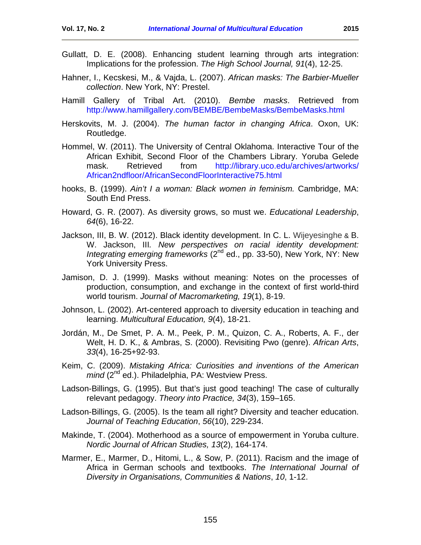- Gullatt, D. E. (2008). Enhancing student learning through arts integration: Implications for the profession. *The High School Journal, 91*(4), 12-25.
- Hahner, I., Kecskesi, M., & Vajda, L. (2007). *African masks: The Barbier-Mueller collection*. New York, NY: Prestel.
- Hamill Gallery of Tribal Art. (2010). *Bembe masks*. Retrieved from <http://www.hamillgallery.com/BEMBE/BembeMasks/BembeMasks.html>
- Herskovits, M. J. (2004). *The human factor in changing Africa*. Oxon, UK: Routledge.
- Hommel, W. (2011). The University of Central Oklahoma. Interactive Tour of the African Exhibit, Second Floor of the Chambers Library. Yoruba Gelede mask. Retrieved from [http://library.uco.edu/archives/artworks/](http://library.uco.edu/archives/artworks/African2ndfloor/AfricanSecondFloorInteractive75.html) [African2ndfloor/AfricanSecondFloorInteractive75.html](http://library.uco.edu/archives/artworks/African2ndfloor/AfricanSecondFloorInteractive75.html)
- hooks, B. (1999). *Ain't I a woman: Black women in feminism.* Cambridge, MA: South End Press.
- Howard, G. R. (2007). As diversity grows, so must we. *Educational Leadership*, *64*(6), 16-22.
- Jackson, III, B. W. (2012). Black identity development. In C. L. Wijeyesinghe & B. W. Jackson, III*. New perspectives on racial identity development: Integrating emerging frameworks* (2<sup>nd</sup> ed., pp. 33-50), New York, NY: New York University Press.
- Jamison, D. J. (1999). Masks without meaning: Notes on the processes of production, consumption, and exchange in the context of first world-third world tourism. *Journal of Macromarketing, 19*(1), 8-19.
- Johnson, L. (2002). Art-centered approach to diversity education in teaching and learning. *Multicultural Education, 9*(4), 18-21.
- Jordán, M., De Smet, P. A. M., Peek, P. M., Quizon, C. A., Roberts, A. F., der Welt, H. D. K., & Ambras, S. (2000). Revisiting Pwo (genre). *African Arts*, *33*(4), 16-25+92-93.
- Keim, C. (2009). *Mistaking Africa: Curiosities and inventions of the American mind* (2<sup>nd</sup> ed.). Philadelphia, PA: Westview Press.
- Ladson-Billings, G. (1995). But that's just good teaching! The case of culturally relevant pedagogy. *Theory into Practice, 34*(3), 159–165.
- Ladson-Billings, G. (2005). Is the team all right? Diversity and teacher education. *Journal of Teaching Education*, *56*(10), 229-234.
- Makinde, T. (2004). Motherhood as a source of empowerment in Yoruba culture. *Nordic Journal of African Studies, 13*(2), 164-174.
- Marmer, E., Marmer, D., Hitomi, L., & Sow, P. (2011). Racism and the image of Africa in German schools and textbooks. *The International Journal of Diversity in Organisations, Communities & Nations*, *10*, 1-12.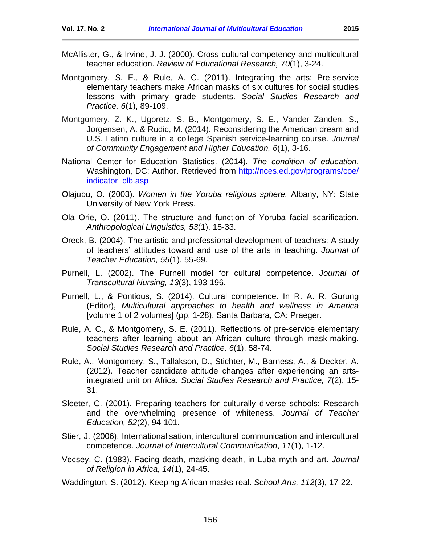- McAllister, G., & Irvine, J. J. (2000). Cross cultural competency and multicultural teacher education. *Review of Educational Research, 70*(1), 3-24.
- Montgomery, S. E., & Rule, A. C. (2011). Integrating the arts: Pre-service elementary teachers make African masks of six cultures for social studies lessons with primary grade students. *Social Studies Research and Practice, 6*(1), 89-109.
- Montgomery, Z. K., Ugoretz, S. B., Montgomery, S. E., Vander Zanden, S., Jorgensen, A. & Rudic, M. (2014). Reconsidering the American dream and U.S. Latino culture in a college Spanish service-learning course. *Journal of Community Engagement and Higher Education, 6*(1), 3-16.
- National Center for Education Statistics. (2014). *The condition of education.* Washington, DC: Author. Retrieved from [http://nces.ed.gov/programs/coe/](http://nces.ed.gov/programs/coe/indicator_clb.asp) [indicator\\_clb.asp](http://nces.ed.gov/programs/coe/indicator_clb.asp)
- Olajubu, O. (2003). *Women in the Yoruba religious sphere.* Albany, NY: State University of New York Press.
- Ola Orie, O. (2011). The structure and function of Yoruba facial scarification. *Anthropological Linguistics, 53*(1), 15-33.
- Oreck, B. (2004). The artistic and professional development of teachers: A study of teachers' attitudes toward and use of the arts in teaching. *Journal of Teacher Education, 55*(1), 55-69.
- Purnell, L. (2002). The Purnell model for cultural competence. *Journal of Transcultural Nursing, 13*(3), 193-196.
- Purnell, L., & Pontious, S. (2014). Cultural competence. In R. A. R. Gurung (Editor), *Multicultural approaches to health and wellness in America*  [volume 1 of 2 volumes] (pp. 1-28). Santa Barbara, CA: Praeger.
- Rule, A. C., & Montgomery, S. E. (2011). Reflections of pre-service elementary teachers after learning about an African culture through mask-making. *Social Studies Research and Practice, 6*(1), 58-74.
- Rule, A., Montgomery, S., Tallakson, D., Stichter, M., Barness, A., & Decker, A. (2012). Teacher candidate attitude changes after experiencing an artsintegrated unit on Africa. *Social Studies Research and Practice, 7*(2), 15- 31.
- Sleeter, C. (2001). Preparing teachers for culturally diverse schools: Research and the overwhelming presence of whiteness. *Journal of Teacher Education, 52*(2), 94-101.
- Stier, J. (2006). Internationalisation, intercultural communication and intercultural competence. *Journal of Intercultural Communication*, *11*(1), 1-12.
- Vecsey, C. (1983). Facing death, masking death, in Luba myth and art. *Journal of Religion in Africa, 14*(1), 24-45.
- Waddington, S. (2012). Keeping African masks real. *School Arts, 112*(3), 17-22.